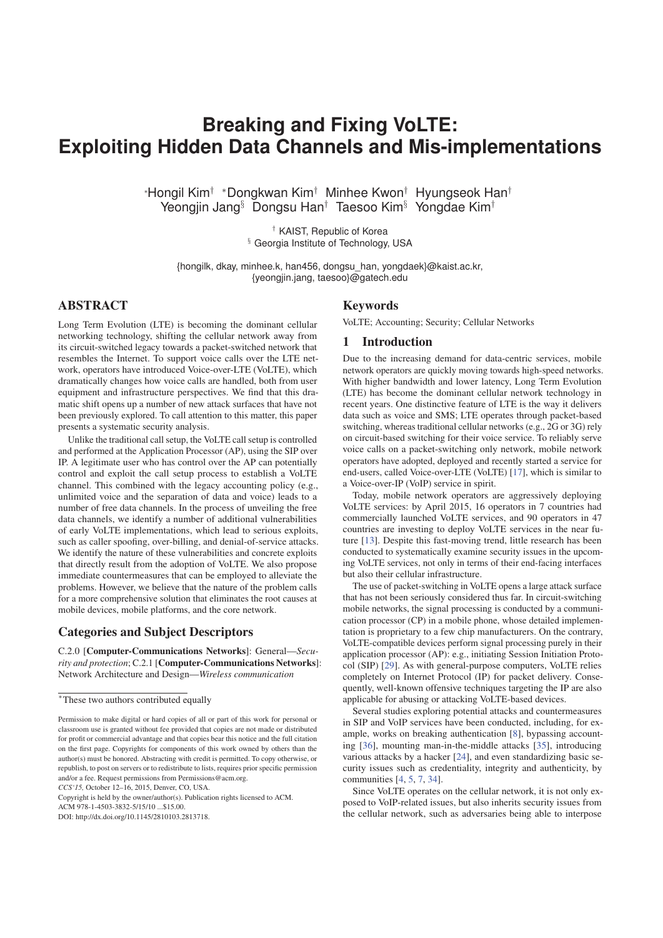# **Breaking and Fixing VoLTE: Exploiting Hidden Data Channels and Mis-implementations**

∗ Hongil Kim† ∗Dongkwan Kim† Minhee Kwon† Hyungseok Han† Yeongjin Jang§ Dongsu Han† Taesoo Kim§ Yongdae Kim†

> † KAIST, Republic of Korea § Georgia Institute of Technology, USA

{hongilk, dkay, minhee.k, han456, dongsu\_han, yongdaek}@kaist.ac.kr, {yeongjin.jang, taesoo}@gatech.edu

# ABSTRACT

Long Term Evolution (LTE) is becoming the dominant cellular networking technology, shifting the cellular network away from its circuit-switched legacy towards a packet-switched network that resembles the Internet. To support voice calls over the LTE network, operators have introduced Voice-over-LTE (VoLTE), which dramatically changes how voice calls are handled, both from user equipment and infrastructure perspectives. We find that this dramatic shift opens up a number of new attack surfaces that have not been previously explored. To call attention to this matter, this paper presents a systematic security analysis.

Unlike the traditional call setup, the VoLTE call setup is controlled and performed at the Application Processor (AP), using the SIP over IP. A legitimate user who has control over the AP can potentially control and exploit the call setup process to establish a VoLTE channel. This combined with the legacy accounting policy (e.g., unlimited voice and the separation of data and voice) leads to a number of free data channels. In the process of unveiling the free data channels, we identify a number of additional vulnerabilities of early VoLTE implementations, which lead to serious exploits, such as caller spoofing, over-billing, and denial-of-service attacks. We identify the nature of these vulnerabilities and concrete exploits that directly result from the adoption of VoLTE. We also propose immediate countermeasures that can be employed to alleviate the problems. However, we believe that the nature of the problem calls for a more comprehensive solution that eliminates the root causes at mobile devices, mobile platforms, and the core network.

# Categories and Subject Descriptors

C.2.0 [Computer-Communications Networks]: General—*Security and protection*; C.2.1 [Computer-Communications Networks]: Network Architecture and Design—*Wireless communication*

*CCS'15,* October 12–16, 2015, Denver, CO, USA.

Copyright is held by the owner/author(s). Publication rights licensed to ACM.

ACM 978-1-4503-3832-5/15/10 ...\$15.00.

DOI: http://dx.doi.org/10.1145/2810103.2813718.

#### Keywords

VoLTE; Accounting; Security; Cellular Networks

### 1 Introduction

Due to the increasing demand for data-centric services, mobile network operators are quickly moving towards high-speed networks. With higher bandwidth and lower latency, Long Term Evolution (LTE) has become the dominant cellular network technology in recent years. One distinctive feature of LTE is the way it delivers data such as voice and SMS; LTE operates through packet-based switching, whereas traditional cellular networks (e.g., 2G or 3G) rely on circuit-based switching for their voice service. To reliably serve voice calls on a packet-switching only network, mobile network operators have adopted, deployed and recently started a service for end-users, called Voice-over-LTE (VoLTE) [17], which is similar to a Voice-over-IP (VoIP) service in spirit.

Today, mobile network operators are aggressively deploying VoLTE services: by April 2015, 16 operators in 7 countries had commercially launched VoLTE services, and 90 operators in 47 countries are investing to deploy VoLTE services in the near future [13]. Despite this fast-moving trend, little research has been conducted to systematically examine security issues in the upcoming VoLTE services, not only in terms of their end-facing interfaces but also their cellular infrastructure.

The use of packet-switching in VoLTE opens a large attack surface that has not been seriously considered thus far. In circuit-switching mobile networks, the signal processing is conducted by a communication processor (CP) in a mobile phone, whose detailed implementation is proprietary to a few chip manufacturers. On the contrary, VoLTE-compatible devices perform signal processing purely in their application processor (AP): e.g., initiating Session Initiation Protocol (SIP) [29]. As with general-purpose computers, VoLTE relies completely on Internet Protocol (IP) for packet delivery. Consequently, well-known offensive techniques targeting the IP are also applicable for abusing or attacking VoLTE-based devices.

Several studies exploring potential attacks and countermeasures in SIP and VoIP services have been conducted, including, for example, works on breaking authentication [8], bypassing accounting [36], mounting man-in-the-middle attacks [35], introducing various attacks by a hacker [24], and even standardizing basic security issues such as credentiality, integrity and authenticity, by communities [4, 5, 7, 34].

Since VoLTE operates on the cellular network, it is not only exposed to VoIP-related issues, but also inherits security issues from the cellular network, such as adversaries being able to interpose

<sup>∗</sup>These two authors contributed equally

Permission to make digital or hard copies of all or part of this work for personal or classroom use is granted without fee provided that copies are not made or distributed for profit or commercial advantage and that copies bear this notice and the full citation on the first page. Copyrights for components of this work owned by others than the author(s) must be honored. Abstracting with credit is permitted. To copy otherwise, or republish, to post on servers or to redistribute to lists, requires prior specific permission and/or a fee. Request permissions from Permissions@acm.org.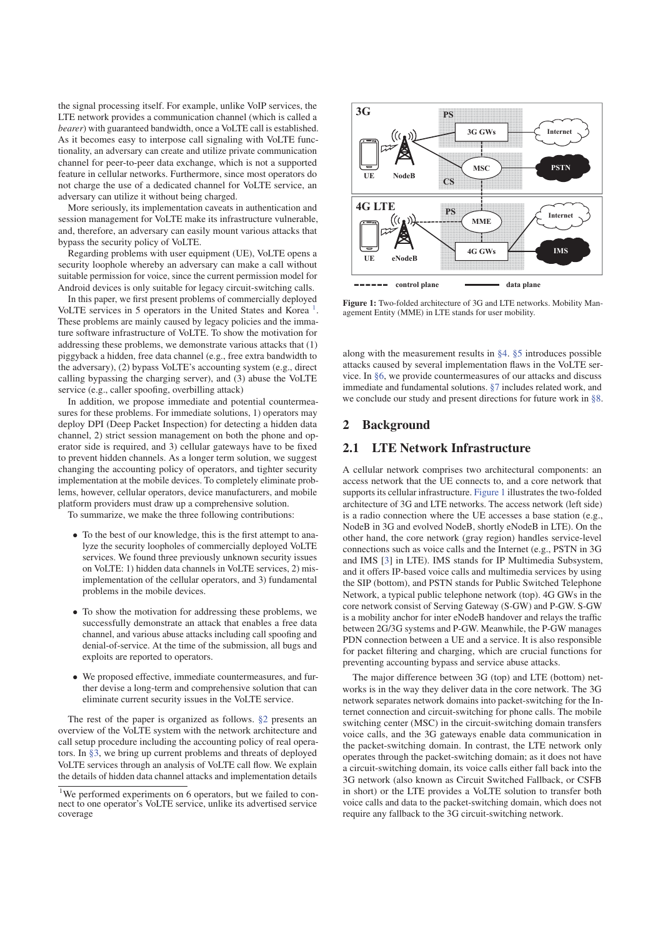the signal processing itself. For example, unlike VoIP services, the LTE network provides a communication channel (which is called a *bearer*) with guaranteed bandwidth, once a VoLTE call is established. As it becomes easy to interpose call signaling with VoLTE functionality, an adversary can create and utilize private communication channel for peer-to-peer data exchange, which is not a supported feature in cellular networks. Furthermore, since most operators do not charge the use of a dedicated channel for VoLTE service, an adversary can utilize it without being charged.

More seriously, its implementation caveats in authentication and session management for VoLTE make its infrastructure vulnerable, and, therefore, an adversary can easily mount various attacks that bypass the security policy of VoLTE.

Regarding problems with user equipment (UE), VoLTE opens a security loophole whereby an adversary can make a call without suitable permission for voice, since the current permission model for Android devices is only suitable for legacy circuit-switching calls.

In this paper, we first present problems of commercially deployed VoLTE services in 5 operators in the United States and Korea<sup>1</sup>. These problems are mainly caused by legacy policies and the immature software infrastructure of VoLTE. To show the motivation for addressing these problems, we demonstrate various attacks that (1) piggyback a hidden, free data channel (e.g., free extra bandwidth to the adversary), (2) bypass VoLTE's accounting system (e.g., direct calling bypassing the charging server), and (3) abuse the VoLTE service (e.g., caller spoofing, overbilling attack)

In addition, we propose immediate and potential countermeasures for these problems. For immediate solutions, 1) operators may deploy DPI (Deep Packet Inspection) for detecting a hidden data channel, 2) strict session management on both the phone and operator side is required, and 3) cellular gateways have to be fixed to prevent hidden channels. As a longer term solution, we suggest changing the accounting policy of operators, and tighter security implementation at the mobile devices. To completely eliminate problems, however, cellular operators, device manufacturers, and mobile platform providers must draw up a comprehensive solution.

To summarize, we make the three following contributions:

- To the best of our knowledge, this is the first attempt to analyze the security loopholes of commercially deployed VoLTE services. We found three previously unknown security issues on VoLTE: 1) hidden data channels in VoLTE services, 2) misimplementation of the cellular operators, and 3) fundamental problems in the mobile devices.
- To show the motivation for addressing these problems, we successfully demonstrate an attack that enables a free data channel, and various abuse attacks including call spoofing and denial-of-service. At the time of the submission, all bugs and exploits are reported to operators.
- We proposed effective, immediate countermeasures, and further devise a long-term and comprehensive solution that can eliminate current security issues in the VoLTE service.

The rest of the paper is organized as follows. §2 presents an overview of the VoLTE system with the network architecture and call setup procedure including the accounting policy of real operators. In §3, we bring up current problems and threats of deployed VoLTE services through an analysis of VoLTE call flow. We explain the details of hidden data channel attacks and implementation details



Figure 1: Two-folded architecture of 3G and LTE networks. Mobility Management Entity (MME) in LTE stands for user mobility.

along with the measurement results in §4. §5 introduces possible attacks caused by several implementation flaws in the VoLTE service. In §6, we provide countermeasures of our attacks and discuss immediate and fundamental solutions. §7 includes related work, and we conclude our study and present directions for future work in §8.

# 2 Background

# 2.1 LTE Network Infrastructure

A cellular network comprises two architectural components: an access network that the UE connects to, and a core network that supports its cellular infrastructure. Figure 1 illustrates the two-folded architecture of 3G and LTE networks. The access network (left side) is a radio connection where the UE accesses a base station (e.g., NodeB in 3G and evolved NodeB, shortly eNodeB in LTE). On the other hand, the core network (gray region) handles service-level connections such as voice calls and the Internet (e.g., PSTN in 3G and IMS [3] in LTE). IMS stands for IP Multimedia Subsystem, and it offers IP-based voice calls and multimedia services by using the SIP (bottom), and PSTN stands for Public Switched Telephone Network, a typical public telephone network (top). 4G GWs in the core network consist of Serving Gateway (S-GW) and P-GW. S-GW is a mobility anchor for inter eNodeB handover and relays the traffic between 2G/3G systems and P-GW. Meanwhile, the P-GW manages PDN connection between a UE and a service. It is also responsible for packet filtering and charging, which are crucial functions for preventing accounting bypass and service abuse attacks.

The major difference between 3G (top) and LTE (bottom) networks is in the way they deliver data in the core network. The 3G network separates network domains into packet-switching for the Internet connection and circuit-switching for phone calls. The mobile switching center (MSC) in the circuit-switching domain transfers voice calls, and the 3G gateways enable data communication in the packet-switching domain. In contrast, the LTE network only operates through the packet-switching domain; as it does not have a circuit-switching domain, its voice calls either fall back into the 3G network (also known as Circuit Switched Fallback, or CSFB in short) or the LTE provides a VoLTE solution to transfer both voice calls and data to the packet-switching domain, which does not require any fallback to the 3G circuit-switching network.

<sup>&</sup>lt;sup>1</sup>We performed experiments on 6 operators, but we failed to connect to one operator's VoLTE service, unlike its advertised service coverage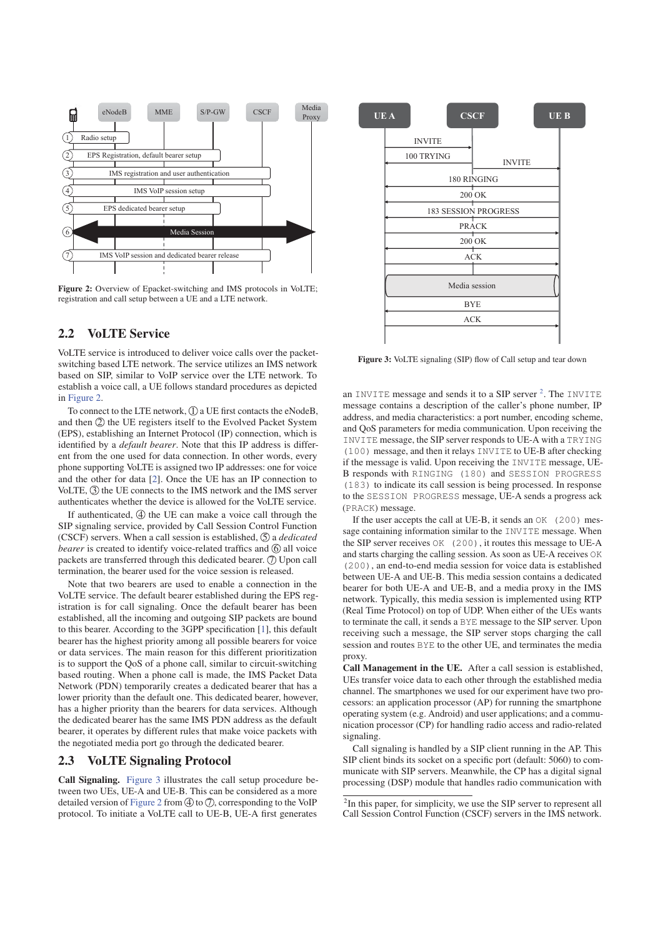

Figure 2: Overview of Epacket-switching and IMS protocols in VoLTE; registration and call setup between a UE and a LTE network.

# 2.2 VoLTE Service

VoLTE service is introduced to deliver voice calls over the packetswitching based LTE network. The service utilizes an IMS network based on SIP, similar to VoIP service over the LTE network. To establish a voice call, a UE follows standard procedures as depicted in Figure 2.

To connect to the LTE network,  $(1)$  a UE first contacts the eNodeB, and then  $\Omega$  the UE registers itself to the Evolved Packet System (EPS), establishing an Internet Protocol (IP) connection, which is identified by a *default bearer*. Note that this IP address is different from the one used for data connection. In other words, every phone supporting VoLTE is assigned two IP addresses: one for voice and the other for data [2]. Once the UE has an IP connection to VoLTE, 3 the UE connects to the IMS network and the IMS server authenticates whether the device is allowed for the VoLTE service.

If authenticated,  $\ddot{A}$  the UE can make a voice call through the SIP signaling service, provided by Call Session Control Function (CSCF) servers. When a call session is established, 5 a *dedicated bearer* is created to identify voice-related traffics and  $\odot$  all voice packets are transferred through this dedicated bearer.  $\left(\overline{7}\right)$  Upon call termination, the bearer used for the voice session is released.

Note that two bearers are used to enable a connection in the VoLTE service. The default bearer established during the EPS registration is for call signaling. Once the default bearer has been established, all the incoming and outgoing SIP packets are bound to this bearer. According to the 3GPP specification [1], this default bearer has the highest priority among all possible bearers for voice or data services. The main reason for this different prioritization is to support the QoS of a phone call, similar to circuit-switching based routing. When a phone call is made, the IMS Packet Data Network (PDN) temporarily creates a dedicated bearer that has a lower priority than the default one. This dedicated bearer, however, has a higher priority than the bearers for data services. Although the dedicated bearer has the same IMS PDN address as the default bearer, it operates by different rules that make voice packets with the negotiated media port go through the dedicated bearer.

# 2.3 VoLTE Signaling Protocol

Call Signaling. Figure 3 illustrates the call setup procedure between two UEs, UE-A and UE-B. This can be considered as a more detailed version of Figure 2 from  $\overline{q}$  to  $\overline{q}$ , corresponding to the VoIP protocol. To initiate a VoLTE call to UE-B, UE-A first generates



Figure 3: VoLTE signaling (SIP) flow of Call setup and tear down

an INVITE message and sends it to a SIP server  $2$ . The INVITE message contains a description of the caller's phone number, IP address, and media characteristics: a port number, encoding scheme, and QoS parameters for media communication. Upon receiving the INVITE message, the SIP server responds to UE-A with a TRYING (100) message, and then it relays INVITE to UE-B after checking if the message is valid. Upon receiving the INVITE message, UE-B responds with RINGING (180) and SESSION PROGRESS (183) to indicate its call session is being processed. In response to the SESSION PROGRESS message, UE-A sends a progress ack (PRACK) message.

If the user accepts the call at UE-B, it sends an OK (200) message containing information similar to the INVITE message. When the SIP server receives OK (200), it routes this message to UE-A and starts charging the calling session. As soon as UE-A receives OK (200), an end-to-end media session for voice data is established between UE-A and UE-B. This media session contains a dedicated bearer for both UE-A and UE-B, and a media proxy in the IMS network. Typically, this media session is implemented using RTP (Real Time Protocol) on top of UDP. When either of the UEs wants to terminate the call, it sends a BYE message to the SIP server. Upon receiving such a message, the SIP server stops charging the call session and routes BYE to the other UE, and terminates the media proxy.

Call Management in the UE. After a call session is established, UEs transfer voice data to each other through the established media channel. The smartphones we used for our experiment have two processors: an application processor (AP) for running the smartphone operating system (e.g. Android) and user applications; and a communication processor (CP) for handling radio access and radio-related signaling.

Call signaling is handled by a SIP client running in the AP. This SIP client binds its socket on a specific port (default: 5060) to communicate with SIP servers. Meanwhile, the CP has a digital signal processing (DSP) module that handles radio communication with

<sup>&</sup>lt;sup>2</sup>In this paper, for simplicity, we use the SIP server to represent all Call Session Control Function (CSCF) servers in the IMS network.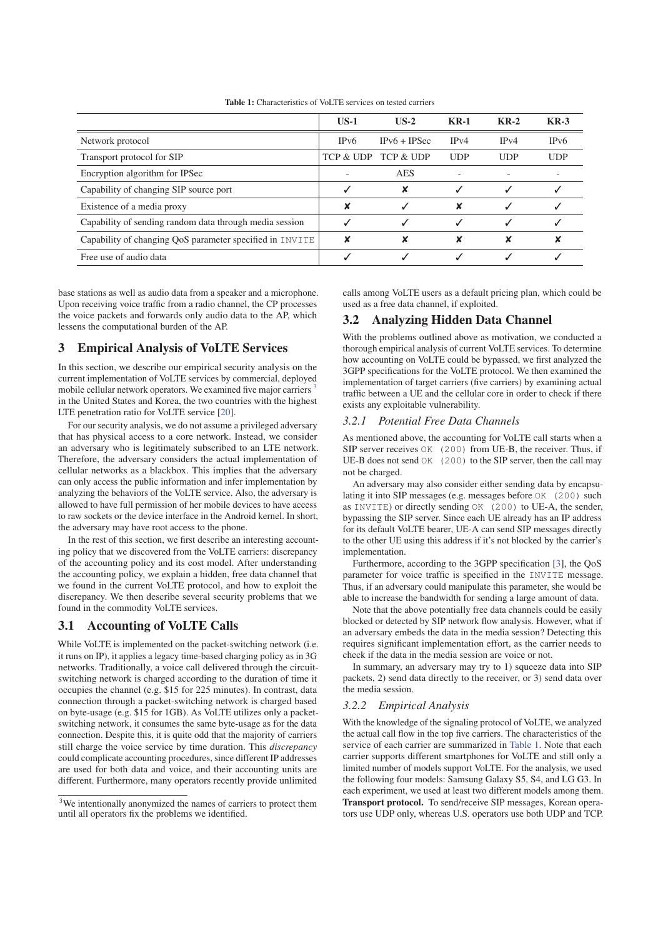|                                                          | $US-1$    | $US-2$         | $KR-1$     | $KR-2$     | $KR-3$     |
|----------------------------------------------------------|-----------|----------------|------------|------------|------------|
| Network protocol                                         | IPv6      | $IPv6 + IPSec$ | IPv4       | IPv4       | IPv6       |
| Transport protocol for SIP                               | TCP & UDP | TCP & UDP      | <b>UDP</b> | <b>UDP</b> | <b>UDP</b> |
| Encryption algorithm for IPSec                           |           | AES            |            |            |            |
| Capability of changing SIP source port                   |           | X              |            |            |            |
| Existence of a media proxy                               | x         | ✓              | x          |            |            |
| Capability of sending random data through media session  |           |                |            |            |            |
| Capability of changing QoS parameter specified in INVITE | ×         | ×              | ×          | x          |            |
| Free use of audio data                                   |           |                |            |            |            |

Table 1: Characteristics of VoLTE services on tested carriers

base stations as well as audio data from a speaker and a microphone. Upon receiving voice traffic from a radio channel, the CP processes the voice packets and forwards only audio data to the AP, which lessens the computational burden of the AP.

# 3 Empirical Analysis of VoLTE Services

In this section, we describe our empirical security analysis on the current implementation of VoLTE services by commercial, deployed mobile cellular network operators. We examined five major carriers <sup>3</sup> in the United States and Korea, the two countries with the highest LTE penetration ratio for VoLTE service [20].

For our security analysis, we do not assume a privileged adversary that has physical access to a core network. Instead, we consider an adversary who is legitimately subscribed to an LTE network. Therefore, the adversary considers the actual implementation of cellular networks as a blackbox. This implies that the adversary can only access the public information and infer implementation by analyzing the behaviors of the VoLTE service. Also, the adversary is allowed to have full permission of her mobile devices to have access to raw sockets or the device interface in the Android kernel. In short, the adversary may have root access to the phone.

In the rest of this section, we first describe an interesting accounting policy that we discovered from the VoLTE carriers: discrepancy of the accounting policy and its cost model. After understanding the accounting policy, we explain a hidden, free data channel that we found in the current VoLTE protocol, and how to exploit the discrepancy. We then describe several security problems that we found in the commodity VoLTE services.

# 3.1 Accounting of VoLTE Calls

While VoLTE is implemented on the packet-switching network (i.e. it runs on IP), it applies a legacy time-based charging policy as in 3G networks. Traditionally, a voice call delivered through the circuitswitching network is charged according to the duration of time it occupies the channel (e.g. \$15 for 225 minutes). In contrast, data connection through a packet-switching network is charged based on byte-usage (e.g. \$15 for 1GB). As VoLTE utilizes only a packetswitching network, it consumes the same byte-usage as for the data connection. Despite this, it is quite odd that the majority of carriers still charge the voice service by time duration. This *discrepancy* could complicate accounting procedures, since different IP addresses are used for both data and voice, and their accounting units are different. Furthermore, many operators recently provide unlimited

calls among VoLTE users as a default pricing plan, which could be used as a free data channel, if exploited.

# 3.2 Analyzing Hidden Data Channel

With the problems outlined above as motivation, we conducted a thorough empirical analysis of current VoLTE services. To determine how accounting on VoLTE could be bypassed, we first analyzed the 3GPP specifications for the VoLTE protocol. We then examined the implementation of target carriers (five carriers) by examining actual traffic between a UE and the cellular core in order to check if there exists any exploitable vulnerability.

#### *3.2.1 Potential Free Data Channels*

As mentioned above, the accounting for VoLTE call starts when a SIP server receives OK (200) from UE-B, the receiver. Thus, if UE-B does not send OK (200) to the SIP server, then the call may not be charged.

An adversary may also consider either sending data by encapsulating it into SIP messages (e.g. messages before OK (200) such as INVITE) or directly sending OK (200) to UE-A, the sender, bypassing the SIP server. Since each UE already has an IP address for its default VoLTE bearer, UE-A can send SIP messages directly to the other UE using this address if it's not blocked by the carrier's implementation.

Furthermore, according to the 3GPP specification [3], the QoS parameter for voice traffic is specified in the INVITE message. Thus, if an adversary could manipulate this parameter, she would be able to increase the bandwidth for sending a large amount of data.

Note that the above potentially free data channels could be easily blocked or detected by SIP network flow analysis. However, what if an adversary embeds the data in the media session? Detecting this requires significant implementation effort, as the carrier needs to check if the data in the media session are voice or not.

In summary, an adversary may try to 1) squeeze data into SIP packets, 2) send data directly to the receiver, or 3) send data over the media session.

#### *3.2.2 Empirical Analysis*

With the knowledge of the signaling protocol of VoLTE, we analyzed the actual call flow in the top five carriers. The characteristics of the service of each carrier are summarized in Table 1. Note that each carrier supports different smartphones for VoLTE and still only a limited number of models support VoLTE. For the analysis, we used the following four models: Samsung Galaxy S5, S4, and LG G3. In each experiment, we used at least two different models among them. Transport protocol. To send/receive SIP messages, Korean operators use UDP only, whereas U.S. operators use both UDP and TCP.

<sup>&</sup>lt;sup>3</sup>We intentionally anonymized the names of carriers to protect them until all operators fix the problems we identified.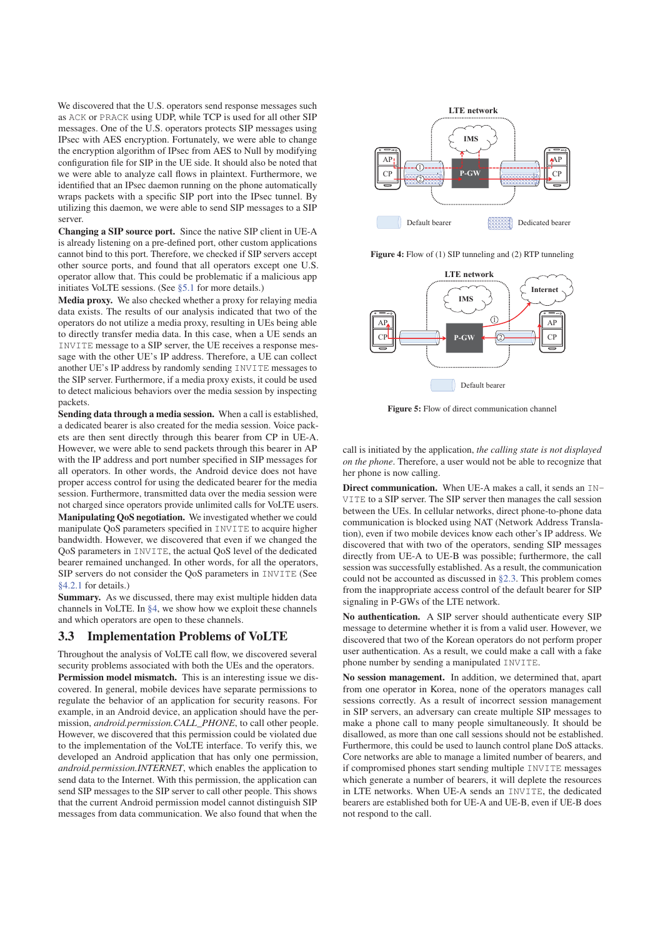We discovered that the U.S. operators send response messages such as ACK or PRACK using UDP, while TCP is used for all other SIP messages. One of the U.S. operators protects SIP messages using IPsec with AES encryption. Fortunately, we were able to change the encryption algorithm of IPsec from AES to Null by modifying configuration file for SIP in the UE side. It should also be noted that we were able to analyze call flows in plaintext. Furthermore, we identified that an IPsec daemon running on the phone automatically wraps packets with a specific SIP port into the IPsec tunnel. By utilizing this daemon, we were able to send SIP messages to a SIP server.

Changing a SIP source port. Since the native SIP client in UE-A is already listening on a pre-defined port, other custom applications cannot bind to this port. Therefore, we checked if SIP servers accept other source ports, and found that all operators except one U.S. operator allow that. This could be problematic if a malicious app initiates VoLTE sessions. (See §5.1 for more details.)

Media proxy. We also checked whether a proxy for relaying media data exists. The results of our analysis indicated that two of the operators do not utilize a media proxy, resulting in UEs being able to directly transfer media data. In this case, when a UE sends an INVITE message to a SIP server, the UE receives a response message with the other UE's IP address. Therefore, a UE can collect another UE's IP address by randomly sending INVITE messages to the SIP server. Furthermore, if a media proxy exists, it could be used to detect malicious behaviors over the media session by inspecting packets.

Sending data through a media session. When a call is established, a dedicated bearer is also created for the media session. Voice packets are then sent directly through this bearer from CP in UE-A. However, we were able to send packets through this bearer in AP with the IP address and port number specified in SIP messages for all operators. In other words, the Android device does not have proper access control for using the dedicated bearer for the media session. Furthermore, transmitted data over the media session were not charged since operators provide unlimited calls for VoLTE users. Manipulating QoS negotiation. We investigated whether we could manipulate QoS parameters specified in INVITE to acquire higher bandwidth. However, we discovered that even if we changed the QoS parameters in INVITE, the actual QoS level of the dedicated bearer remained unchanged. In other words, for all the operators, SIP servers do not consider the QoS parameters in INVITE (See §4.2.1 for details.)

Summary. As we discussed, there may exist multiple hidden data channels in VoLTE. In §4, we show how we exploit these channels and which operators are open to these channels.

#### 3.3 Implementation Problems of VoLTE

Throughout the analysis of VoLTE call flow, we discovered several security problems associated with both the UEs and the operators. Permission model mismatch. This is an interesting issue we discovered. In general, mobile devices have separate permissions to regulate the behavior of an application for security reasons. For example, in an Android device, an application should have the permission, *android.permission.CALL\_PHONE*, to call other people. However, we discovered that this permission could be violated due to the implementation of the VoLTE interface. To verify this, we developed an Android application that has only one permission, *android.permission.INTERNET*, which enables the application to send data to the Internet. With this permission, the application can send SIP messages to the SIP server to call other people. This shows that the current Android permission model cannot distinguish SIP messages from data communication. We also found that when the



Figure 4: Flow of (1) SIP tunneling and (2) RTP tunneling



Figure 5: Flow of direct communication channel

call is initiated by the application, *the calling state is not displayed on the phone*. Therefore, a user would not be able to recognize that her phone is now calling.

Direct communication. When UE-A makes a call, it sends an IN-VITE to a SIP server. The SIP server then manages the call session between the UEs. In cellular networks, direct phone-to-phone data communication is blocked using NAT (Network Address Translation), even if two mobile devices know each other's IP address. We discovered that with two of the operators, sending SIP messages directly from UE-A to UE-B was possible; furthermore, the call session was successfully established. As a result, the communication could not be accounted as discussed in §2.3. This problem comes from the inappropriate access control of the default bearer for SIP signaling in P-GWs of the LTE network.

No authentication. A SIP server should authenticate every SIP message to determine whether it is from a valid user. However, we discovered that two of the Korean operators do not perform proper user authentication. As a result, we could make a call with a fake phone number by sending a manipulated INVITE.

No session management. In addition, we determined that, apart from one operator in Korea, none of the operators manages call sessions correctly. As a result of incorrect session management in SIP servers, an adversary can create multiple SIP messages to make a phone call to many people simultaneously. It should be disallowed, as more than one call sessions should not be established. Furthermore, this could be used to launch control plane DoS attacks. Core networks are able to manage a limited number of bearers, and if compromised phones start sending multiple INVITE messages which generate a number of bearers, it will deplete the resources in LTE networks. When UE-A sends an INVITE, the dedicated bearers are established both for UE-A and UE-B, even if UE-B does not respond to the call.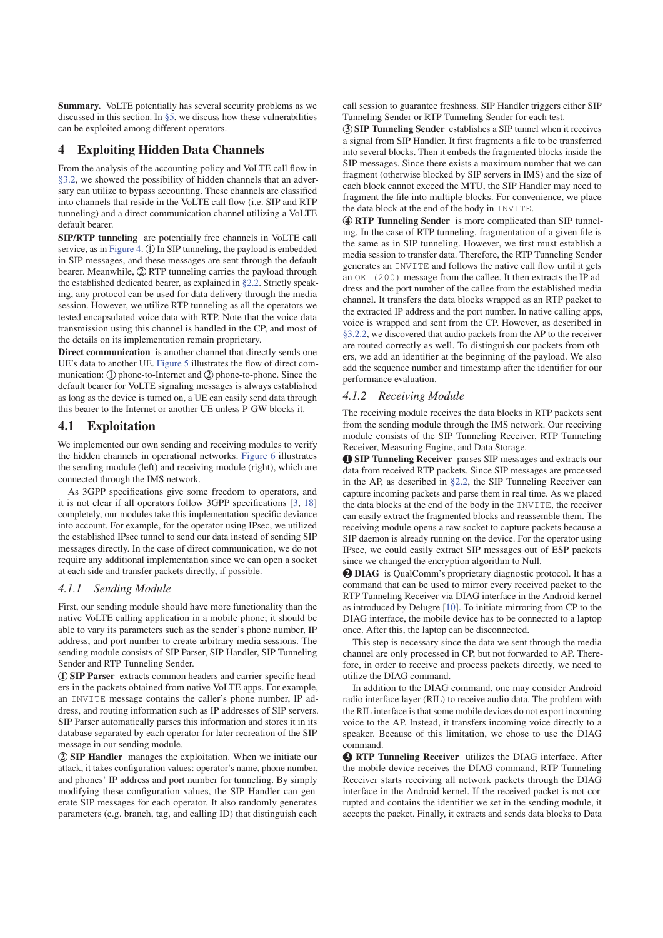Summary. VoLTE potentially has several security problems as we discussed in this section. In §5, we discuss how these vulnerabilities can be exploited among different operators.

## **Exploiting Hidden Data Channels**

From the analysis of the accounting policy and VoLTE call flow in §3.2, we showed the possibility of hidden channels that an adversary can utilize to bypass accounting. These channels are classified into channels that reside in the VoLTE call flow (i.e. SIP and RTP tunneling) and a direct communication channel utilizing a VoLTE default bearer.

SIP/RTP tunneling are potentially free channels in VoLTE call service, as in Figure 4.  $\overline{1}$  In SIP tunneling, the payload is embedded in SIP messages, and these messages are sent through the default bearer. Meanwhile,  $\mathcal{D}$  RTP tunneling carries the payload through the established dedicated bearer, as explained in §2.2. Strictly speaking, any protocol can be used for data delivery through the media session. However, we utilize RTP tunneling as all the operators we tested encapsulated voice data with RTP. Note that the voice data transmission using this channel is handled in the CP, and most of the details on its implementation remain proprietary.

Direct communication is another channel that directly sends one UE's data to another UE. Figure 5 illustrates the flow of direct communication:  $(1)$  phone-to-Internet and  $(2)$  phone-to-phone. Since the default bearer for VoLTE signaling messages is always established as long as the device is turned on, a UE can easily send data through this bearer to the Internet or another UE unless P-GW blocks it.

# 4.1 Exploitation

We implemented our own sending and receiving modules to verify the hidden channels in operational networks. Figure 6 illustrates the sending module (left) and receiving module (right), which are connected through the IMS network.

As 3GPP specifications give some freedom to operators, and it is not clear if all operators follow 3GPP specifications [3, 18] completely, our modules take this implementation-specific deviance into account. For example, for the operator using IPsec, we utilized the established IPsec tunnel to send our data instead of sending SIP messages directly. In the case of direct communication, we do not require any additional implementation since we can open a socket at each side and transfer packets directly, if possible.

#### *4.1.1 Sending Module*

First, our sending module should have more functionality than the native VoLTE calling application in a mobile phone; it should be able to vary its parameters such as the sender's phone number, IP address, and port number to create arbitrary media sessions. The sending module consists of SIP Parser, SIP Handler, SIP Tunneling Sender and RTP Tunneling Sender.

1 SIP Parser extracts common headers and carrier-specific headers in the packets obtained from native VoLTE apps. For example, an INVITE message contains the caller's phone number, IP address, and routing information such as IP addresses of SIP servers. SIP Parser automatically parses this information and stores it in its database separated by each operator for later recreation of the SIP message in our sending module.

2 SIP Handler manages the exploitation. When we initiate our attack, it takes configuration values: operator's name, phone number, and phones' IP address and port number for tunneling. By simply modifying these configuration values, the SIP Handler can generate SIP messages for each operator. It also randomly generates parameters (e.g. branch, tag, and calling ID) that distinguish each

call session to guarantee freshness. SIP Handler triggers either SIP Tunneling Sender or RTP Tunneling Sender for each test.

3 SIP Tunneling Sender establishes a SIP tunnel when it receives a signal from SIP Handler. It first fragments a file to be transferred into several blocks. Then it embeds the fragmented blocks inside the SIP messages. Since there exists a maximum number that we can fragment (otherwise blocked by SIP servers in IMS) and the size of each block cannot exceed the MTU, the SIP Handler may need to fragment the file into multiple blocks. For convenience, we place the data block at the end of the body in INVITE.

4 RTP Tunneling Sender is more complicated than SIP tunneling. In the case of RTP tunneling, fragmentation of a given file is the same as in SIP tunneling. However, we first must establish a media session to transfer data. Therefore, the RTP Tunneling Sender generates an INVITE and follows the native call flow until it gets an OK (200) message from the callee. It then extracts the IP address and the port number of the callee from the established media channel. It transfers the data blocks wrapped as an RTP packet to the extracted IP address and the port number. In native calling apps, voice is wrapped and sent from the CP. However, as described in §3.2.2, we discovered that audio packets from the AP to the receiver are routed correctly as well. To distinguish our packets from others, we add an identifier at the beginning of the payload. We also add the sequence number and timestamp after the identifier for our performance evaluation.

#### *4.1.2 Receiving Module*

The receiving module receives the data blocks in RTP packets sent from the sending module through the IMS network. Our receiving module consists of the SIP Tunneling Receiver, RTP Tunneling Receiver, Measuring Engine, and Data Storage.

**1 O SIP Tunneling Receiver** parses SIP messages and extracts our data from received RTP packets. Since SIP messages are processed in the AP, as described in §2.2, the SIP Tunneling Receiver can capture incoming packets and parse them in real time. As we placed the data blocks at the end of the body in the INVITE, the receiver can easily extract the fragmented blocks and reassemble them. The receiving module opens a raw socket to capture packets because a SIP daemon is already running on the device. For the operator using IPsec, we could easily extract SIP messages out of ESP packets since we changed the encryption algorithm to Null.

2 DIAG is QualComm's proprietary diagnostic protocol. It has a command that can be used to mirror every received packet to the RTP Tunneling Receiver via DIAG interface in the Android kernel as introduced by Delugre [10]. To initiate mirroring from CP to the DIAG interface, the mobile device has to be connected to a laptop once. After this, the laptop can be disconnected.

This step is necessary since the data we sent through the media channel are only processed in CP, but not forwarded to AP. Therefore, in order to receive and process packets directly, we need to utilize the DIAG command.

In addition to the DIAG command, one may consider Android radio interface layer (RIL) to receive audio data. The problem with the RIL interface is that some mobile devices do not export incoming voice to the AP. Instead, it transfers incoming voice directly to a speaker. Because of this limitation, we chose to use the DIAG command.

**3 RTP Tunneling Receiver** utilizes the DIAG interface. After the mobile device receives the DIAG command, RTP Tunneling Receiver starts receiving all network packets through the DIAG interface in the Android kernel. If the received packet is not corrupted and contains the identifier we set in the sending module, it accepts the packet. Finally, it extracts and sends data blocks to Data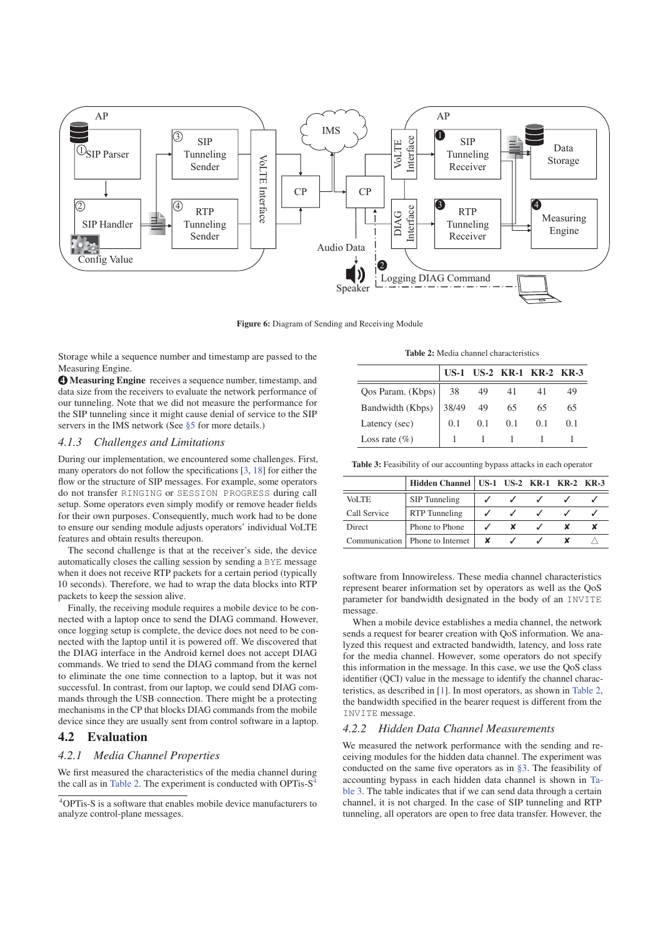

Figure 6: Diagram of Sending and Receiving Module

Storage while a sequence number and timestamp are passed to the Measuring Engine.

4 Measuring Engine receives a sequence number, timestamp, and data size from the receivers to evaluate the network performance of our tunneling. Note that we did not measure the performance for the SIP tunneling since it might cause denial of service to the SIP servers in the IMS network (See §5 for more details.)

#### *4.1.3 Challenges and Limitations*

During our implementation, we encountered some challenges. First, many operators do not follow the specifications [3, 18] for either the flow or the structure of SIP messages. For example, some operators do not transfer RINGING or SESSION PROGRESS during call setup. Some operators even simply modify or remove header fields for their own purposes. Consequently, much work had to be done to ensure our sending module adjusts operators' individual VoLTE features and obtain results thereupon.

The second challenge is that at the receiver's side, the device automatically closes the calling session by sending a BYE message when it does not receive RTP packets for a certain period (typically 10 seconds). Therefore, we had to wrap the data blocks into RTP packets to keep the session alive.

Finally, the receiving module requires a mobile device to be connected with a laptop once to send the DIAG command. However, once logging setup is complete, the device does not need to be connected with the laptop until it is powered off. We discovered that the DIAG interface in the Android kernel does not accept DIAG commands. We tried to send the DIAG command from the kernel to eliminate the one time connection to a laptop, but it was not successful. In contrast, from our laptop, we could send DIAG commands through the USB connection. There might be a protecting mechanisms in the CP that blocks DIAG commands from the mobile device since they are usually sent from control software in a laptop.

# 4.2 Evaluation

#### *4.2.1 Media Channel Properties*

We first measured the characteristics of the media channel during the call as in Table 2. The experiment is conducted with OPTis- $S<sup>4</sup>$ 

Table 2: Media channel characteristics

|                                                            |                  |           | US-1 US-2 KR-1 KR-2 KR-3 |    |
|------------------------------------------------------------|------------------|-----------|--------------------------|----|
|                                                            |                  |           |                          |    |
| Qos Param. (Kbps) 38 49 41<br>Bandwidth (Kbps) 38/49 49 65 |                  | 65        | 65                       | 65 |
| Latency (sec)                                              | $0.1 \qquad 0.1$ | $0.1$ 0.1 |                          |    |
| Loss rate $(\% )$                                          |                  |           |                          |    |

Table 3: Feasibility of our accounting bypass attacks in each operator

|               | Hidden Channel   US-1 US-2 KR-1 KR-2 KR-3 |   |   |  |  |
|---------------|-------------------------------------------|---|---|--|--|
| VoLTE         | SIP Tunneling                             |   |   |  |  |
| Call Service  | RTP Tunneling                             |   |   |  |  |
| <b>Direct</b> | Phone to Phone                            |   | x |  |  |
|               | Communication   Phone to Internet         | x |   |  |  |

software from Innowireless. These media channel characteristics represent bearer information set by operators as well as the QoS parameter for bandwidth designated in the body of an INVITE message.

When a mobile device establishes a media channel, the network sends a request for bearer creation with QoS information. We analyzed this request and extracted bandwidth, latency, and loss rate for the media channel. However, some operators do not specify this information in the message. In this case, we use the QoS class identifier (QCI) value in the message to identify the channel characteristics, as described in [1]. In most operators, as shown in Table 2, the bandwidth specified in the bearer request is different from the INVITE message.

#### *4.2.2 Hidden Data Channel Measurements*

We measured the network performance with the sending and receiving modules for the hidden data channel. The experiment was conducted on the same five operators as in §3. The feasibility of accounting bypass in each hidden data channel is shown in Table 3. The table indicates that if we can send data through a certain channel, it is not charged. In the case of SIP tunneling and RTP tunneling, all operators are open to free data transfer. However, the

<sup>4</sup> OPTis-S is a software that enables mobile device manufacturers to analyze control-plane messages.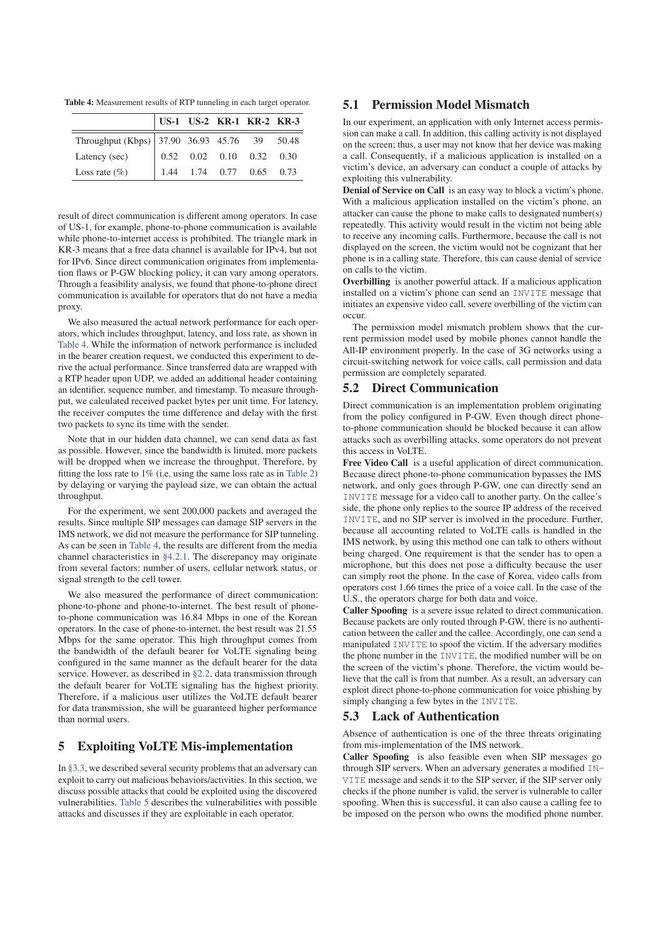Table 4: Measurement results of RTP tunneling in each target operator.

|                                              |  | US-1 US-2 KR-1 KR-2 KR-3                                            |  |
|----------------------------------------------|--|---------------------------------------------------------------------|--|
| Throughput (Kbps) 37.90 36.93 45.76 39 50.48 |  |                                                                     |  |
| Latency (sec)                                |  | $\begin{array}{ rrrr} 0.52 & 0.02 & 0.10 & 0.32 & 0.30 \end{array}$ |  |
| Loss rate $(\% )$                            |  | 1.44 1.74 0.77 0.65 0.73                                            |  |

result of direct communication is different among operators. In case of US-1, for example, phone-to-phone communication is available while phone-to-internet access is prohibited. The triangle mark in KR-3 means that a free data channel is available for IPv4, but not for IPv6. Since direct communication originates from implementation flaws or P-GW blocking policy, it can vary among operators. Through a feasibility analysis, we found that phone-to-phone direct communication is available for operators that do not have a media proxy.

We also measured the actual network performance for each operators, which includes throughput, latency, and loss rate, as shown in Table 4. While the information of network performance is included in the bearer creation request, we conducted this experiment to derive the actual performance. Since transferred data are wrapped with a RTP header upon UDP, we added an additional header containing an identifier, sequence number, and timestamp. To measure throughput, we calculated received packet bytes per unit time. For latency, the receiver computes the time difference and delay with the first two packets to sync its time with the sender.

Note that in our hidden data channel, we can send data as fast as possible. However, since the bandwidth is limited, more packets will be dropped when we increase the throughput. Therefore, by fitting the loss rate to 1% (i.e. using the same loss rate as in Table 2) by delaying or varying the payload size, we can obtain the actual throughput.

For the experiment, we sent 200,000 packets and averaged the results. Since multiple SIP messages can damage SIP servers in the IMS network, we did not measure the performance for SIP tunneling. As can be seen in Table 4, the results are different from the media channel characteristics in §4.2.1. The discrepancy may originate from several factors: number of users, cellular network status, or signal strength to the cell tower.

We also measured the performance of direct communication: phone-to-phone and phone-to-internet. The best result of phoneto-phone communication was 16.84 Mbps in one of the Korean operators. In the case of phone-to-internet, the best result was 21.55 Mbps for the same operator. This high throughput comes from the bandwidth of the default bearer for VoLTE signaling being configured in the same manner as the default bearer for the data service. However, as described in §2.2, data transmission through the default bearer for VoLTE signaling has the highest priority. Therefore, if a malicious user utilizes the VoLTE default bearer for data transmission, she will be guaranteed higher performance than normal users.

# 5 Exploiting VoLTE Mis-implementation

In §3.3, we described several security problems that an adversary can exploit to carry out malicious behaviors/activities. In this section, we discuss possible attacks that could be exploited using the discovered vulnerabilities. Table 5 describes the vulnerabilities with possible attacks and discusses if they are exploitable in each operator.

# 5.1 Permission Model Mismatch

In our experiment, an application with only Internet access permission can make a call. In addition, this calling activity is not displayed on the screen; thus, a user may not know that her device was making a call. Consequently, if a malicious application is installed on a victim's device, an adversary can conduct a couple of attacks by exploiting this vulnerability.

Denial of Service on Call is an easy way to block a victim's phone. With a malicious application installed on the victim's phone, an attacker can cause the phone to make calls to designated number(s) repeatedly. This activity would result in the victim not being able to receive any incoming calls. Furthermore, because the call is not displayed on the screen, the victim would not be cognizant that her phone is in a calling state. Therefore, this can cause denial of service on calls to the victim.

Overbilling is another powerful attack. If a malicious application installed on a victim's phone can send an INVITE message that initiates an expensive video call, severe overbilling of the victim can occur.

The permission model mismatch problem shows that the current permission model used by mobile phones cannot handle the All-IP environment properly. In the case of 3G networks using a circuit-switching network for voice calls, call permission and data permission are completely separated.

# 5.2 Direct Communication

Direct communication is an implementation problem originating from the policy configured in P-GW. Even though direct phoneto-phone communication should be blocked because it can allow attacks such as overbilling attacks, some operators do not prevent this access in VoLTE.

Free Video Call is a useful application of direct communication. Because direct phone-to-phone communication bypasses the IMS network, and only goes through P-GW, one can directly send an INVITE message for a video call to another party. On the callee's side, the phone only replies to the source IP address of the received INVITE, and no SIP server is involved in the procedure. Further, because all accounting related to VoLTE calls is handled in the IMS network, by using this method one can talk to others without being charged. One requirement is that the sender has to open a microphone, but this does not pose a difficulty because the user can simply root the phone. In the case of Korea, video calls from operators cost 1.66 times the price of a voice call. In the case of the U.S., the operators charge for both data and voice.

Caller Spoofing is a severe issue related to direct communication. Because packets are only routed through P-GW, there is no authentication between the caller and the callee. Accordingly, one can send a manipulated INVITE to spoof the victim. If the adversary modifies the phone number in the INVITE, the modified number will be on the screen of the victim's phone. Therefore, the victim would believe that the call is from that number. As a result, an adversary can exploit direct phone-to-phone communication for voice phishing by simply changing a few bytes in the INVITE.

## 5.3 Lack of Authentication

Absence of authentication is one of the three threats originating from mis-implementation of the IMS network.

Caller Spoofing is also feasible even when SIP messages go through SIP servers. When an adversary generates a modified IN-VITE message and sends it to the SIP server, if the SIP server only checks if the phone number is valid, the server is vulnerable to caller spoofing. When this is successful, it can also cause a calling fee to be imposed on the person who owns the modified phone number.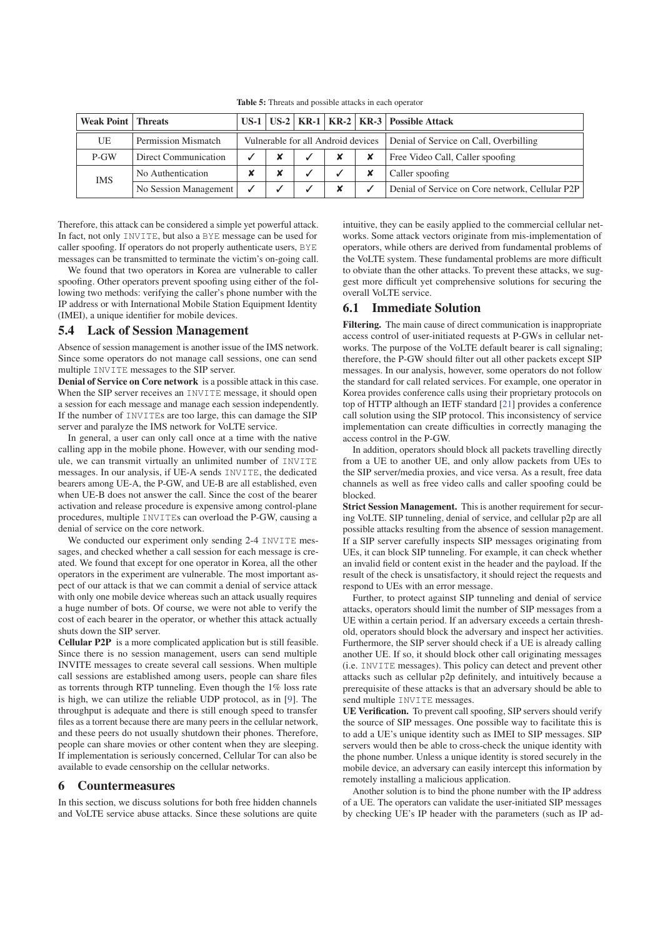Table 5: Threats and possible attacks in each operator

| <b>Weak Point   Threats</b> |                       |                                    |   |                                        | US-1   US-2   KR-1   KR-2   KR-3   Possible Attack |
|-----------------------------|-----------------------|------------------------------------|---|----------------------------------------|----------------------------------------------------|
| UE                          | Permission Mismatch   | Vulnerable for all Android devices |   | Denial of Service on Call, Overbilling |                                                    |
| P-GW                        | Direct Communication  |                                    | x | $\boldsymbol{x}$                       | Free Video Call, Caller spoofing                   |
| <b>IMS</b>                  | No Authentication     |                                    |   |                                        | Caller spoofing                                    |
|                             | No Session Management |                                    |   |                                        | Denial of Service on Core network, Cellular P2P    |

Therefore, this attack can be considered a simple yet powerful attack. In fact, not only INVITE, but also a BYE message can be used for caller spoofing. If operators do not properly authenticate users, BYE messages can be transmitted to terminate the victim's on-going call.

We found that two operators in Korea are vulnerable to caller spoofing. Other operators prevent spoofing using either of the following two methods: verifying the caller's phone number with the IP address or with International Mobile Station Equipment Identity (IMEI), a unique identifier for mobile devices.

#### 5.4 Lack of Session Management

Absence of session management is another issue of the IMS network. Since some operators do not manage call sessions, one can send multiple INVITE messages to the SIP server.

Denial of Service on Core network is a possible attack in this case. When the SIP server receives an INVITE message, it should open a session for each message and manage each session independently. If the number of INVITEs are too large, this can damage the SIP server and paralyze the IMS network for VoLTE service.

In general, a user can only call once at a time with the native calling app in the mobile phone. However, with our sending module, we can transmit virtually an unlimited number of INVITE messages. In our analysis, if UE-A sends INVITE, the dedicated bearers among UE-A, the P-GW, and UE-B are all established, even when UE-B does not answer the call. Since the cost of the bearer activation and release procedure is expensive among control-plane procedures, multiple INVITEs can overload the P-GW, causing a denial of service on the core network.

We conducted our experiment only sending 2-4 INVITE messages, and checked whether a call session for each message is created. We found that except for one operator in Korea, all the other operators in the experiment are vulnerable. The most important aspect of our attack is that we can commit a denial of service attack with only one mobile device whereas such an attack usually requires a huge number of bots. Of course, we were not able to verify the cost of each bearer in the operator, or whether this attack actually shuts down the SIP server.

Cellular P2P is a more complicated application but is still feasible. Since there is no session management, users can send multiple INVITE messages to create several call sessions. When multiple call sessions are established among users, people can share files as torrents through RTP tunneling. Even though the 1% loss rate is high, we can utilize the reliable UDP protocol, as in [9]. The throughput is adequate and there is still enough speed to transfer files as a torrent because there are many peers in the cellular network, and these peers do not usually shutdown their phones. Therefore, people can share movies or other content when they are sleeping. If implementation is seriously concerned, Cellular Tor can also be available to evade censorship on the cellular networks.

#### **Countermeasures**

In this section, we discuss solutions for both free hidden channels and VoLTE service abuse attacks. Since these solutions are quite intuitive, they can be easily applied to the commercial cellular networks. Some attack vectors originate from mis-implementation of operators, while others are derived from fundamental problems of the VoLTE system. These fundamental problems are more difficult to obviate than the other attacks. To prevent these attacks, we suggest more difficult yet comprehensive solutions for securing the overall VoLTE service.

#### 6.1 Immediate Solution

Filtering. The main cause of direct communication is inappropriate access control of user-initiated requests at P-GWs in cellular networks. The purpose of the VoLTE default bearer is call signaling; therefore, the P-GW should filter out all other packets except SIP messages. In our analysis, however, some operators do not follow the standard for call related services. For example, one operator in Korea provides conference calls using their proprietary protocols on top of HTTP although an IETF standard [21] provides a conference call solution using the SIP protocol. This inconsistency of service implementation can create difficulties in correctly managing the access control in the P-GW.

In addition, operators should block all packets travelling directly from a UE to another UE, and only allow packets from UEs to the SIP server/media proxies, and vice versa. As a result, free data channels as well as free video calls and caller spoofing could be blocked.

Strict Session Management. This is another requirement for securing VoLTE. SIP tunneling, denial of service, and cellular p2p are all possible attacks resulting from the absence of session management. If a SIP server carefully inspects SIP messages originating from UEs, it can block SIP tunneling. For example, it can check whether an invalid field or content exist in the header and the payload. If the result of the check is unsatisfactory, it should reject the requests and respond to UEs with an error message.

Further, to protect against SIP tunneling and denial of service attacks, operators should limit the number of SIP messages from a UE within a certain period. If an adversary exceeds a certain threshold, operators should block the adversary and inspect her activities. Furthermore, the SIP server should check if a UE is already calling another UE. If so, it should block other call originating messages (i.e. INVITE messages). This policy can detect and prevent other attacks such as cellular p2p definitely, and intuitively because a prerequisite of these attacks is that an adversary should be able to send multiple INVITE messages.

UE Verification. To prevent call spoofing, SIP servers should verify the source of SIP messages. One possible way to facilitate this is to add a UE's unique identity such as IMEI to SIP messages. SIP servers would then be able to cross-check the unique identity with the phone number. Unless a unique identity is stored securely in the mobile device, an adversary can easily intercept this information by remotely installing a malicious application.

Another solution is to bind the phone number with the IP address of a UE. The operators can validate the user-initiated SIP messages by checking UE's IP header with the parameters (such as IP ad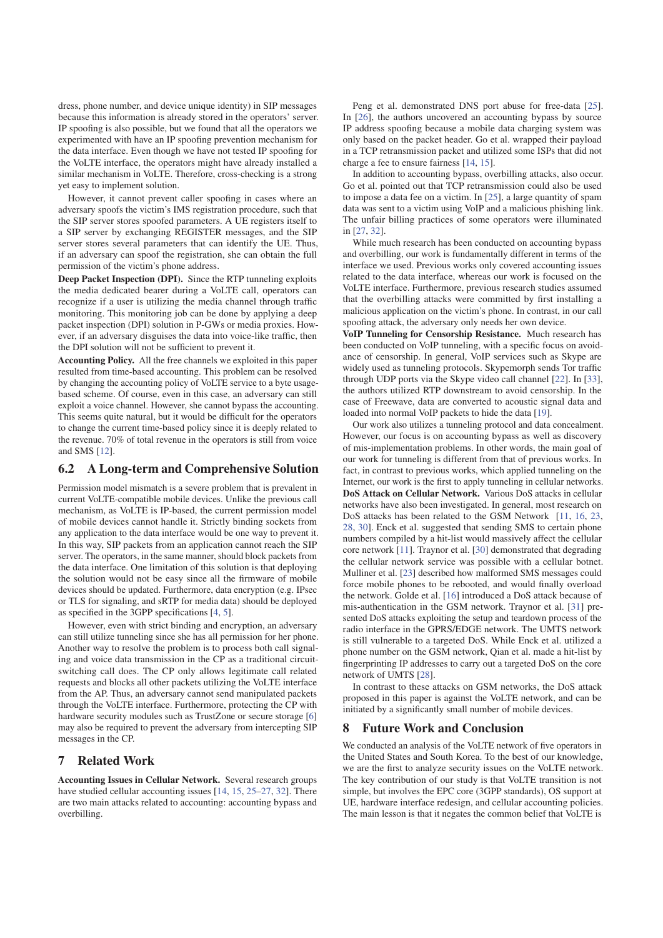dress, phone number, and device unique identity) in SIP messages because this information is already stored in the operators' server. IP spoofing is also possible, but we found that all the operators we experimented with have an IP spoofing prevention mechanism for the data interface. Even though we have not tested IP spoofing for the VoLTE interface, the operators might have already installed a similar mechanism in VoLTE. Therefore, cross-checking is a strong yet easy to implement solution.

However, it cannot prevent caller spoofing in cases where an adversary spoofs the victim's IMS registration procedure, such that the SIP server stores spoofed parameters. A UE registers itself to a SIP server by exchanging REGISTER messages, and the SIP server stores several parameters that can identify the UE. Thus, if an adversary can spoof the registration, she can obtain the full permission of the victim's phone address.

Deep Packet Inspection (DPI). Since the RTP tunneling exploits the media dedicated bearer during a VoLTE call, operators can recognize if a user is utilizing the media channel through traffic monitoring. This monitoring job can be done by applying a deep packet inspection (DPI) solution in P-GWs or media proxies. However, if an adversary disguises the data into voice-like traffic, then the DPI solution will not be sufficient to prevent it.

Accounting Policy. All the free channels we exploited in this paper resulted from time-based accounting. This problem can be resolved by changing the accounting policy of VoLTE service to a byte usagebased scheme. Of course, even in this case, an adversary can still exploit a voice channel. However, she cannot bypass the accounting. This seems quite natural, but it would be difficult for the operators to change the current time-based policy since it is deeply related to the revenue. 70% of total revenue in the operators is still from voice and SMS [12].

# 6.2 A Long-term and Comprehensive Solution

Permission model mismatch is a severe problem that is prevalent in current VoLTE-compatible mobile devices. Unlike the previous call mechanism, as VoLTE is IP-based, the current permission model of mobile devices cannot handle it. Strictly binding sockets from any application to the data interface would be one way to prevent it. In this way, SIP packets from an application cannot reach the SIP server. The operators, in the same manner, should block packets from the data interface. One limitation of this solution is that deploying the solution would not be easy since all the firmware of mobile devices should be updated. Furthermore, data encryption (e.g. IPsec or TLS for signaling, and sRTP for media data) should be deployed as specified in the 3GPP specifications [4, 5].

However, even with strict binding and encryption, an adversary can still utilize tunneling since she has all permission for her phone. Another way to resolve the problem is to process both call signaling and voice data transmission in the CP as a traditional circuitswitching call does. The CP only allows legitimate call related requests and blocks all other packets utilizing the VoLTE interface from the AP. Thus, an adversary cannot send manipulated packets through the VoLTE interface. Furthermore, protecting the CP with hardware security modules such as TrustZone or secure storage [6] may also be required to prevent the adversary from intercepting SIP messages in the CP.

# 7 Related Work

Accounting Issues in Cellular Network. Several research groups have studied cellular accounting issues [14, 15, 25–27, 32]. There are two main attacks related to accounting: accounting bypass and overbilling.

Peng et al. demonstrated DNS port abuse for free-data [25]. In [26], the authors uncovered an accounting bypass by source IP address spoofing because a mobile data charging system was only based on the packet header. Go et al. wrapped their payload in a TCP retransmission packet and utilized some ISPs that did not charge a fee to ensure fairness [14, 15].

In addition to accounting bypass, overbilling attacks, also occur. Go et al. pointed out that TCP retransmission could also be used to impose a data fee on a victim. In [25], a large quantity of spam data was sent to a victim using VoIP and a malicious phishing link. The unfair billing practices of some operators were illuminated in [27, 32].

While much research has been conducted on accounting bypass and overbilling, our work is fundamentally different in terms of the interface we used. Previous works only covered accounting issues related to the data interface, whereas our work is focused on the VoLTE interface. Furthermore, previous research studies assumed that the overbilling attacks were committed by first installing a malicious application on the victim's phone. In contrast, in our call spoofing attack, the adversary only needs her own device.

VoIP Tunneling for Censorship Resistance. Much research has been conducted on VoIP tunneling, with a specific focus on avoidance of censorship. In general, VoIP services such as Skype are widely used as tunneling protocols. Skypemorph sends Tor traffic through UDP ports via the Skype video call channel [22]. In [33], the authors utilized RTP downstream to avoid censorship. In the case of Freewave, data are converted to acoustic signal data and loaded into normal VoIP packets to hide the data [19].

Our work also utilizes a tunneling protocol and data concealment. However, our focus is on accounting bypass as well as discovery of mis-implementation problems. In other words, the main goal of our work for tunneling is different from that of previous works. In fact, in contrast to previous works, which applied tunneling on the Internet, our work is the first to apply tunneling in cellular networks. DoS Attack on Cellular Network. Various DoS attacks in cellular networks have also been investigated. In general, most research on DoS attacks has been related to the GSM Network [11, 16, 23, 28, 30]. Enck et al. suggested that sending SMS to certain phone numbers compiled by a hit-list would massively affect the cellular core network [11]. Traynor et al. [30] demonstrated that degrading the cellular network service was possible with a cellular botnet. Mulliner et al. [23] described how malformed SMS messages could force mobile phones to be rebooted, and would finally overload the network. Golde et al. [16] introduced a DoS attack because of mis-authentication in the GSM network. Traynor et al. [31] presented DoS attacks exploiting the setup and teardown process of the radio interface in the GPRS/EDGE network. The UMTS network is still vulnerable to a targeted DoS. While Enck et al. utilized a phone number on the GSM network, Qian et al. made a hit-list by fingerprinting IP addresses to carry out a targeted DoS on the core network of UMTS [28].

In contrast to these attacks on GSM networks, the DoS attack proposed in this paper is against the VoLTE network, and can be initiated by a significantly small number of mobile devices.

### 8 Future Work and Conclusion

We conducted an analysis of the VoLTE network of five operators in the United States and South Korea. To the best of our knowledge, we are the first to analyze security issues on the VoLTE network. The key contribution of our study is that VoLTE transition is not simple, but involves the EPC core (3GPP standards), OS support at UE, hardware interface redesign, and cellular accounting policies. The main lesson is that it negates the common belief that VoLTE is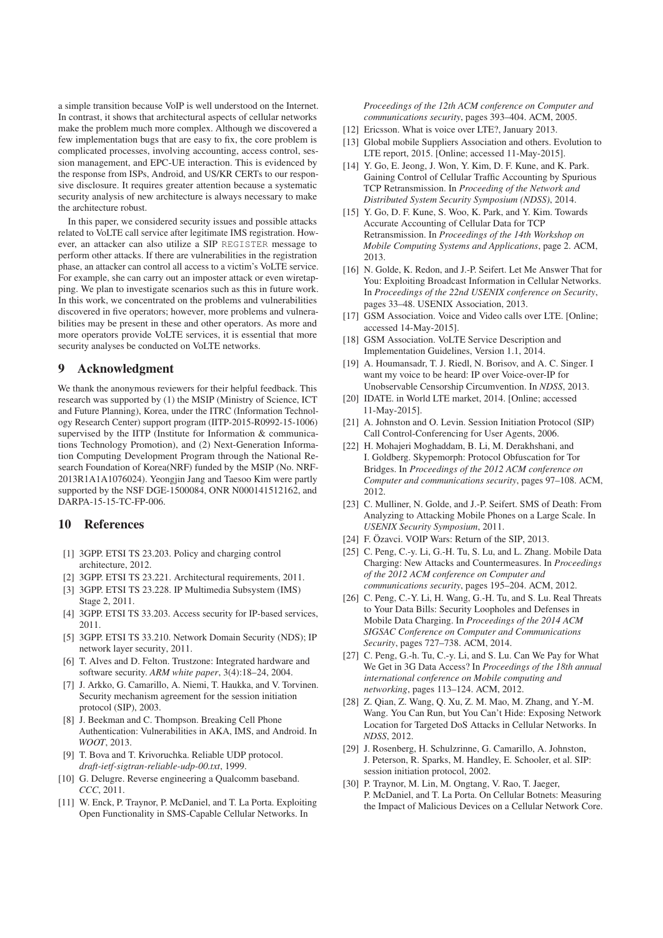a simple transition because VoIP is well understood on the Internet. In contrast, it shows that architectural aspects of cellular networks make the problem much more complex. Although we discovered a few implementation bugs that are easy to fix, the core problem is complicated processes, involving accounting, access control, session management, and EPC-UE interaction. This is evidenced by the response from ISPs, Android, and US/KR CERTs to our responsive disclosure. It requires greater attention because a systematic security analysis of new architecture is always necessary to make the architecture robust.

In this paper, we considered security issues and possible attacks related to VoLTE call service after legitimate IMS registration. However, an attacker can also utilize a SIP REGISTER message to perform other attacks. If there are vulnerabilities in the registration phase, an attacker can control all access to a victim's VoLTE service. For example, she can carry out an imposter attack or even wiretapping. We plan to investigate scenarios such as this in future work. In this work, we concentrated on the problems and vulnerabilities discovered in five operators; however, more problems and vulnerabilities may be present in these and other operators. As more and more operators provide VoLTE services, it is essential that more security analyses be conducted on VoLTE networks.

### 9 Acknowledgment

We thank the anonymous reviewers for their helpful feedback. This research was supported by (1) the MSIP (Ministry of Science, ICT and Future Planning), Korea, under the ITRC (Information Technology Research Center) support program (IITP-2015-R0992-15-1006) supervised by the IITP (Institute for Information & communications Technology Promotion), and (2) Next-Generation Information Computing Development Program through the National Research Foundation of Korea(NRF) funded by the MSIP (No. NRF-2013R1A1A1076024). Yeongjin Jang and Taesoo Kim were partly supported by the NSF DGE-1500084, ONR N000141512162, and DARPA-15-15-TC-FP-006.

#### 10 References

- [1] 3GPP. ETSI TS 23.203. Policy and charging control architecture, 2012.
- [2] 3GPP. ETSI TS 23.221. Architectural requirements, 2011.
- [3] 3GPP. ETSI TS 23.228. IP Multimedia Subsystem (IMS) Stage 2, 2011.
- [4] 3GPP. ETSI TS 33.203. Access security for IP-based services, 2011.
- [5] 3GPP. ETSI TS 33.210. Network Domain Security (NDS); IP network layer security, 2011.
- [6] T. Alves and D. Felton. Trustzone: Integrated hardware and software security. *ARM white paper*, 3(4):18–24, 2004.
- [7] J. Arkko, G. Camarillo, A. Niemi, T. Haukka, and V. Torvinen. Security mechanism agreement for the session initiation protocol (SIP), 2003.
- [8] J. Beekman and C. Thompson. Breaking Cell Phone Authentication: Vulnerabilities in AKA, IMS, and Android. In *WOOT*, 2013.
- [9] T. Bova and T. Krivoruchka. Reliable UDP protocol. *draft-ietf-sigtran-reliable-udp-00.txt*, 1999.
- [10] G. Delugre. Reverse engineering a Qualcomm baseband. *CCC*, 2011.
- [11] W. Enck, P. Traynor, P. McDaniel, and T. La Porta. Exploiting Open Functionality in SMS-Capable Cellular Networks. In

*Proceedings of the 12th ACM conference on Computer and communications security*, pages 393–404. ACM, 2005.

- [12] Ericsson. What is voice over LTE?, January 2013.
- [13] Global mobile Suppliers Association and others. Evolution to LTE report, 2015. [Online; accessed 11-May-2015].
- [14] Y. Go, E. Jeong, J. Won, Y. Kim, D. F. Kune, and K. Park. Gaining Control of Cellular Traffic Accounting by Spurious TCP Retransmission. In *Proceeding of the Network and Distributed System Security Symposium (NDSS)*, 2014.
- [15] Y. Go, D. F. Kune, S. Woo, K. Park, and Y. Kim. Towards Accurate Accounting of Cellular Data for TCP Retransmission. In *Proceedings of the 14th Workshop on Mobile Computing Systems and Applications*, page 2. ACM, 2013.
- [16] N. Golde, K. Redon, and J.-P. Seifert. Let Me Answer That for You: Exploiting Broadcast Information in Cellular Networks. In *Proceedings of the 22nd USENIX conference on Security*, pages 33–48. USENIX Association, 2013.
- [17] GSM Association. Voice and Video calls over LTE. [Online; accessed 14-May-2015].
- [18] GSM Association. VoLTE Service Description and Implementation Guidelines, Version 1.1, 2014.
- [19] A. Houmansadr, T. J. Riedl, N. Borisov, and A. C. Singer. I want my voice to be heard: IP over Voice-over-IP for Unobservable Censorship Circumvention. In *NDSS*, 2013.
- [20] IDATE. in World LTE market, 2014. [Online; accessed 11-May-2015].
- [21] A. Johnston and O. Levin. Session Initiation Protocol (SIP) Call Control-Conferencing for User Agents, 2006.
- [22] H. Mohajeri Moghaddam, B. Li, M. Derakhshani, and I. Goldberg. Skypemorph: Protocol Obfuscation for Tor Bridges. In *Proceedings of the 2012 ACM conference on Computer and communications security*, pages 97–108. ACM, 2012.
- [23] C. Mulliner, N. Golde, and J.-P. Seifert. SMS of Death: From Analyzing to Attacking Mobile Phones on a Large Scale. In *USENIX Security Symposium*, 2011.
- [24] F. Özavci. VOIP Wars: Return of the SIP, 2013.
- [25] C. Peng, C.-y. Li, G.-H. Tu, S. Lu, and L. Zhang. Mobile Data Charging: New Attacks and Countermeasures. In *Proceedings of the 2012 ACM conference on Computer and communications security*, pages 195–204. ACM, 2012.
- [26] C. Peng, C.-Y. Li, H. Wang, G.-H. Tu, and S. Lu. Real Threats to Your Data Bills: Security Loopholes and Defenses in Mobile Data Charging. In *Proceedings of the 2014 ACM SIGSAC Conference on Computer and Communications Security*, pages 727–738. ACM, 2014.
- [27] C. Peng, G.-h. Tu, C.-y. Li, and S. Lu. Can We Pay for What We Get in 3G Data Access? In *Proceedings of the 18th annual international conference on Mobile computing and networking*, pages 113–124. ACM, 2012.
- [28] Z. Qian, Z. Wang, Q. Xu, Z. M. Mao, M. Zhang, and Y.-M. Wang. You Can Run, but You Can't Hide: Exposing Network Location for Targeted DoS Attacks in Cellular Networks. In *NDSS*, 2012.
- [29] J. Rosenberg, H. Schulzrinne, G. Camarillo, A. Johnston, J. Peterson, R. Sparks, M. Handley, E. Schooler, et al. SIP: session initiation protocol, 2002.
- [30] P. Traynor, M. Lin, M. Ongtang, V. Rao, T. Jaeger, P. McDaniel, and T. La Porta. On Cellular Botnets: Measuring the Impact of Malicious Devices on a Cellular Network Core.